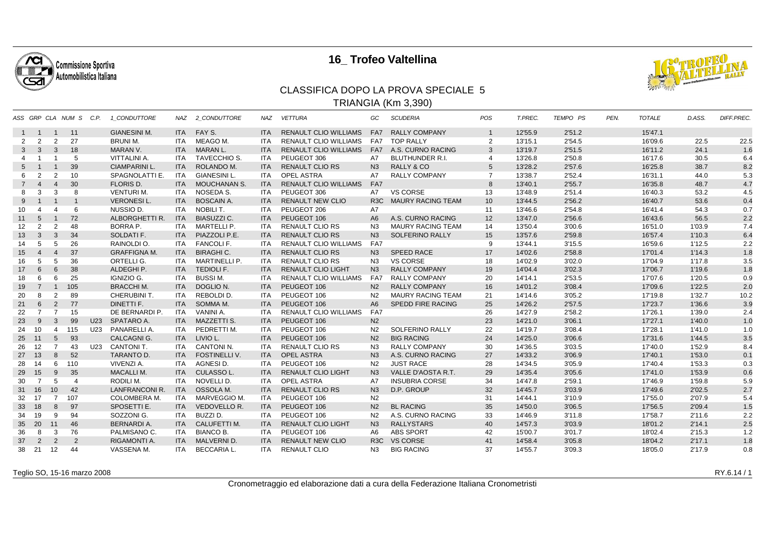

## **16\_ Trofeo Valtellina**



## CLASSIFICA DOPO LA PROVA SPECIALE 5TRIANGIA (Km 3,390)

|                |                       |                 | ASS GRP CLA NUM S C.P. |     | 1 CONDUTTORE          | NAZ        | 2 CONDUTTORE           | <b>NAZ</b> | <b>VETTURA</b>               | GC               | <b>SCUDERIA</b>          | POS            | T.PREC. | TEMPO PS | PEN. | <b>TOTALE</b> | D.ASS. | DIFF.PREC. |
|----------------|-----------------------|-----------------|------------------------|-----|-----------------------|------------|------------------------|------------|------------------------------|------------------|--------------------------|----------------|---------|----------|------|---------------|--------|------------|
| $\mathbf{1}$   | $\overline{1}$        | $\overline{1}$  | 11                     |     | <b>GIANESINI M.</b>   |            | ITA FAY S.             | <b>ITA</b> | <b>RENAULT CLIO WILLIAMS</b> | FA7              | <b>RALLY COMPANY</b>     | $\mathbf{1}$   | 12'55.9 | 2'51.2   |      | 15'47.1       |        |            |
| 2              | 2                     | 2               | 27                     |     | <b>BRUNI M.</b>       | ITA        | MEAGO M.               | <b>ITA</b> | <b>RENAULT CLIO WILLIAMS</b> | FA7              | <b>TOP RALLY</b>         | $\overline{2}$ | 13'15.1 | 2'54.5   |      | 16'09.6       | 22.5   | 22.5       |
| 3              | $\mathbf{3}$          | 3               | 18                     |     | MARAN V.              | ITA I      | MARAN L.               | <b>ITA</b> | <b>RENAULT CLIO WILLIAMS</b> | FA7              | A.S. CURNO RACING        | 3              | 13'19.7 | 2'51.5   |      | 16'11.2       | 24.1   | 1.6        |
|                |                       |                 | 5                      |     | VITTALINI A.          | <b>ITA</b> | <b>TAVECCHIO S.</b>    | <b>ITA</b> | PEUGEOT 306                  | A7               | <b>BLUTHUNDER R.I.</b>   | 4              | 13'26.8 | 2'50.8   |      | 16'17.6       | 30.5   | 6.4        |
| 5              |                       | $\mathbf 1$     | 39                     |     | <b>CIAMPARINI L.</b>  | <b>ITA</b> | ROLANDO M.             | <b>ITA</b> | <b>RENAULT CLIO RS</b>       | N <sub>3</sub>   | RALLY & CO               | 5              | 13'28.2 | 2'57.6   |      | 16'25.8       | 38.7   | 8.2        |
| 6              | 2                     | 2               | 10                     |     | SPAGNOLATTI E.        | ITA        | <b>GIANESINI L.</b>    | ITA.       | <b>OPEL ASTRA</b>            | A7               | <b>RALLY COMPANY</b>     | $\overline{7}$ | 13'38.7 | 2'52.4   |      | 16'31.1       | 44.0   | 5.3        |
| $\overline{7}$ | $\boldsymbol{\Delta}$ | $\overline{4}$  | 30                     |     | FLORIS D.             | <b>ITA</b> | <b>MOUCHANAN S.</b>    | <b>ITA</b> | <b>RENAULT CLIO WILLIAMS</b> | FA7              |                          | 8              | 13'40.1 | 2'55.7   |      | 16'35.8       | 48.7   | 4.7        |
| 8              | 3                     | 3               | 8                      |     | <b>VENTURIM.</b>      | ITA        | NOSEDA S.              | ITA.       | PEUGEOT 306                  | A7               | <b>VS CORSE</b>          | 13             | 13'48.9 | 2'51.4   |      | 16'40.3       | 53.2   | 4.5        |
| 9              |                       | $\overline{1}$  | -1                     |     | <b>VERONESIL.</b>     | <b>ITA</b> | <b>BOSCAIN A.</b>      | <b>ITA</b> | <b>RENAULT NEW CLIO</b>      | R <sub>3</sub> C | <b>MAURY RACING TEAM</b> | 10             | 13'44.5 | 2'56.2   |      | 16'40.7       | 53.6   | 0.4        |
| 10             | 4                     | $\overline{4}$  | 6                      |     | NUSSIO D.             | ITA        | <b>NOBILIT.</b>        | ITA.       | PEUGEOT 206                  | <b>A7</b>        |                          | 11             | 13'46.6 | 2'54.8   |      | 16'41.4       | 54.3   | 0.7        |
| 11             | $\overline{5}$        | $\overline{1}$  | 72                     |     | ALBORGHETTI R.        | <b>ITA</b> | <b>BIASUZZI C.</b>     | <b>ITA</b> | PEUGEOT 106                  | A <sub>6</sub>   | A.S. CURNO RACING        | 12             | 13'47.0 | 2'56.6   |      | 16'43.6       | 56.5   | 2.2        |
| 12             | $\overline{2}$        | 2               | 48                     |     | BORRA P.              | ITA        | <b>MARTELLI P.</b>     | <b>ITA</b> | <b>RENAULT CLIO RS</b>       | N <sub>3</sub>   | <b>MAURY RACING TEAM</b> | 14             | 13'50.4 | 3'00.6   |      | 16'51.0       | 1'03.9 | 7.4        |
| 13             | 3                     | $\mathbf{3}$    | 34                     |     | SOLDATI F.            | <b>ITA</b> | PIAZZOLI P.E.          | <b>ITA</b> | <b>RENAULT CLIO RS</b>       | N <sub>3</sub>   | SOLFERINO RALLY          | 15             | 13'57.6 | 2'59.8   |      | 16'57.4       | 1'10.3 | 6.4        |
| 14             | 5                     | 5               | 26                     |     | RAINOLDI O.           | ITA        | <b>FANCOLIF.</b>       | <b>ITA</b> | <b>RENAULT CLIO WILLIAMS</b> | FA7              |                          | 9              | 13'44.1 | 3'15.5   |      | 16'59.6       | 1'12.5 | 2.2        |
| 15             | $\boldsymbol{\Delta}$ | $\overline{4}$  | 37                     |     | <b>GRAFFIGNA M.</b>   | <b>ITA</b> | <b>BIRAGHI C.</b>      | <b>ITA</b> | <b>RENAULT CLIO RS</b>       | N <sub>3</sub>   | <b>SPEED RACE</b>        | 17             | 14'02.6 | 2'58.8   |      | 17'01.4       | 1'14.3 | 1.8        |
| 16             | 5                     | 5               | 36                     |     | ORTELLI G.            | ITA        | <b>MARTINELLI P.</b>   | <b>ITA</b> | <b>RENAULT CLIO RS</b>       | N3               | <b>VS CORSE</b>          | 18             | 14'02.9 | 3'02.0   |      | 17'04.9       | 1'17.8 | 3.5        |
| 17             | 6                     | 6               | 38                     |     | ALDEGHI P.            | <b>ITA</b> | <b>TEDIOLI F.</b>      | <b>ITA</b> | <b>RENAULT CLIO LIGHT</b>    | N <sub>3</sub>   | <b>RALLY COMPANY</b>     | 19             | 14'04.4 | 3'02.3   |      | 17'06.7       | 1'19.6 | 1.8        |
| 18             | 6                     | 6               | 25                     |     | IGNIZIO G.            | ITA        | <b>BUSSIM.</b>         | ITA        | <b>RENAULT CLIO WILLIAMS</b> | FA7              | <b>RALLY COMPANY</b>     | 20             | 14'14.1 | 2'53.5   |      | 17'07.6       | 1'20.5 | 0.9        |
| 19             | $\overline{7}$        | $\overline{1}$  | 105                    |     | <b>BRACCHI M.</b>     | <b>ITA</b> | DOGLIO N.              | <b>ITA</b> | PEUGEOT 106                  | N <sub>2</sub>   | <b>RALLY COMPANY</b>     | 16             | 14'01.2 | 3'08.4   |      | 17'09.6       | 1'22.5 | 2.0        |
| 20             | 8                     | 2               | 89                     |     | CHERUBINI T.          | ITA.       | REBOLDI D.             | ITA.       | PEUGEOT 106                  | N <sub>2</sub>   | <b>MAURY RACING TEAM</b> | 21             | 14'14.6 | 3'05.2   |      | 17'19.8       | 1'32.7 | 10.2       |
| 21             | 6                     | 2               | 77                     |     | DINETTI F.            | <b>ITA</b> | SOMMA M.               | <b>ITA</b> | PEUGEOT 106                  | A <sub>6</sub>   | SPEDD FIRE RACING        | 25             | 14'26.2 | 2'57.5   |      | 17'23.7       | 1'36.6 | 3.9        |
| 22             | $\overline{7}$        | $\overline{7}$  | 15                     |     | DE BERNARDI P.        | ITA        | VANINI A.              | <b>ITA</b> | <b>RENAULT CLIO WILLIAMS</b> | FA7              |                          | 26             | 14'27.9 | 2'58.2   |      | 17'26.1       | 1'39.0 | 2.4        |
| 23             | 9                     | 3               | 99                     |     | U23 SPATARO A.        | <b>ITA</b> | <b>MAZZETTI S.</b>     | <b>ITA</b> | PEUGEOT 106                  | N <sub>2</sub>   |                          | 23             | 14'21.0 | 3'06.1   |      | 17'27.1       | 1'40.0 | 1.0        |
| 24             | 10                    | $\overline{4}$  | 115                    | U23 | PANARELLI A.          | <b>ITA</b> | PEDRETTI M.            | <b>ITA</b> | PEUGEOT 106                  | N <sub>2</sub>   | SOLFERINO RALLY          | 22             | 14'19.7 | 3'08.4   |      | 17'28.1       | 1'41.0 | 1.0        |
| 25             | 11                    | $5\overline{)}$ | 93                     |     | <b>CALCAGNIG.</b>     | <b>ITA</b> | LIVIO L.               | <b>ITA</b> | PEUGEOT 106                  | N <sub>2</sub>   | <b>BIG RACING</b>        | 24             | 14'25.0 | 3'06.6   |      | 17'31.6       | 1'44.5 | 3.5        |
| 26             | 12                    | $\overline{7}$  | 43                     | U23 | CANTONI T.            | ITA        | CANTONI <sub>N</sub> . | <b>ITA</b> | <b>RENAULT CLIO RS</b>       | N <sub>3</sub>   | <b>RALLY COMPANY</b>     | 30             | 14'36.5 | 3'03.5   |      | 17'40.0       | 1'52.9 | 8.4        |
|                | 27 13                 | 8               | 52                     |     | <b>TARANTO D.</b>     | <b>ITA</b> | <b>FOSTINELLI V.</b>   | <b>ITA</b> | <b>OPEL ASTRA</b>            | N <sub>3</sub>   | A.S. CURNO RACING        | 27             | 14'33.2 | 3'06.9   |      | 17'40.1       | 1'53.0 | 0.1        |
|                | 28 14                 | 6               | 110                    |     | VIVENZI A.            | ITA        | AGNESI D.              | <b>ITA</b> | PEUGEOT 106                  | N <sub>2</sub>   | <b>JUST RACE</b>         | 28             | 14'34.5 | 3'05.9   |      | 17'40.4       | 1'53.3 | 0.3        |
| 29             | 15                    | 9               | 35                     |     | <b>MACALLIM.</b>      | <b>ITA</b> | CULASSO L.             | <b>ITA</b> | <b>RENAULT CLIO LIGHT</b>    | N <sub>3</sub>   | VALLE D'AOSTA R.T.       | 29             | 14'35.4 | 3'05.6   |      | 17'41.0       | 1'53.9 | 0.6        |
| 30             | $\overline{7}$        | 5               | $\overline{4}$         |     | RODILI M.             | <b>ITA</b> | NOVELLI D.             | <b>ITA</b> | <b>OPEL ASTRA</b>            | <b>A7</b>        | <b>INSUBRIA CORSE</b>    | 34             | 14'47.8 | 2'59.1   |      | 17'46.9       | 1'59.8 | 5.9        |
| 31             | 16                    | 10              | 42                     |     | <b>LANFRANCONI R.</b> | <b>ITA</b> | OSSOLA M.              | <b>ITA</b> | <b>RENAULT CLIO RS</b>       | N <sub>3</sub>   | D.P. GROUP               | 32             | 14'45.7 | 3'03.9   |      | 17'49.6       | 2'02.5 | 2.7        |
| 32             | 17                    | $\overline{7}$  | 107                    |     | <b>COLOMBERA M.</b>   | ITA        | MARVEGGIO M.           | <b>ITA</b> | PEUGEOT 106                  | N <sub>2</sub>   |                          | 31             | 14'44.1 | 3'10.9   |      | 17'55.0       | 2'07.9 | 5.4        |
| 33             | 18                    | 8               | 97                     |     | SPOSETTI E.           | <b>ITA</b> | <b>VEDOVELLO R.</b>    | <b>ITA</b> | PEUGEOT 106                  | N <sub>2</sub>   | <b>BL RACING</b>         | 35             | 14'50.0 | 3'06.5   |      | 17'56.5       | 2'09.4 | 1.5        |
| 34             | 19                    | 9               | 94                     |     | SOZZONI G.            | ITA        | BUZZI D.               | <b>ITA</b> | PEUGEOT 106                  | N <sub>2</sub>   | A.S. CURNO RACING        | 33             | 14'46.9 | 3'11.8   |      | 17'58.7       | 2'11.6 | 2.2        |
| 35             | 20                    | 11              | 46                     |     | <b>BERNARDI A.</b>    | <b>ITA</b> | CALUFETTI M.           | <b>ITA</b> | <b>RENAULT CLIO LIGHT</b>    | N <sub>3</sub>   | <b>RALLYSTARS</b>        | 40             | 14'57.3 | 3'03.9   |      | 18'01.2       | 2'14.1 | 2.5        |
| 36             | 8                     | 3               | 76                     |     | PALMISANO C.          | ITA        | <b>BIANCO B.</b>       | ITA.       | PEUGEOT 106                  | A6               | <b>ABS SPORT</b>         | 42             | 15'00.7 | 3'01.7   |      | 18'02.4       | 2'15.3 | 1.2        |
| 37             | 2                     | 2               | $\overline{2}$         |     | RIGAMONTI A.          | <b>ITA</b> | MALVERNI D.            | <b>ITA</b> | <b>RENAULT NEW CLIO</b>      | R <sub>3</sub> C | <b>VS CORSE</b>          | 41             | 14'58.4 | 3'05.8   |      | 18'04.2       | 2'17.1 | 1.8        |
| 38             | 21                    | 12              | 44                     |     | VASSENA M.            | ITA        | <b>BECCARIA L</b>      | ITA.       | <b>RENAULT CLIO</b>          | N3               | <b>BIG RACING</b>        | 37             | 14'55.7 | 3'09.3   |      | 18'05.0       | 2'17.9 | 0.8        |

Teglio SO, 15-16 marzo 2008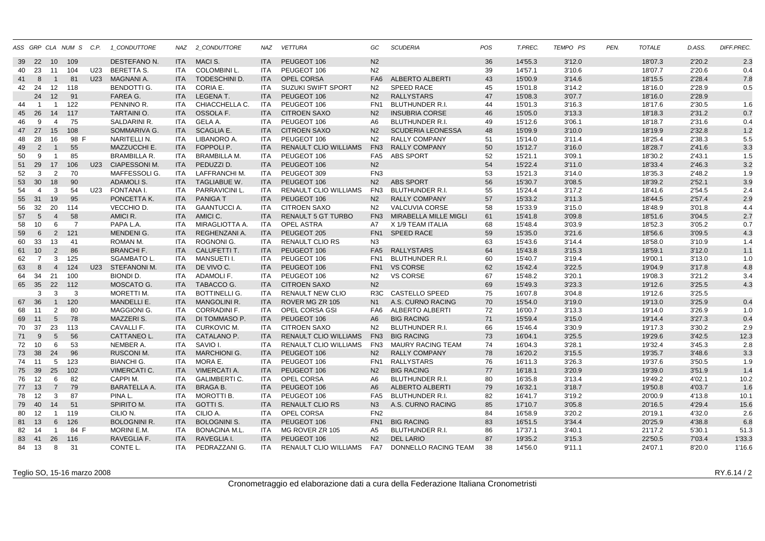|    |                |                 | ASS GRP CLA NUM S C.P. |                 | 1_CONDUTTORE        |            | NAZ 2_CONDUTTORE     | NAZ        | <b>VETTURA</b>               | GC               | <b>SCUDERIA</b>             | <b>POS</b> | T.PREC. | TEMPO PS | PEN. | <b>TOTALE</b> | D.ASS. | DIFF.PREC. |
|----|----------------|-----------------|------------------------|-----------------|---------------------|------------|----------------------|------------|------------------------------|------------------|-----------------------------|------------|---------|----------|------|---------------|--------|------------|
| 39 | 22             | 10 <sup>°</sup> | 109                    |                 | DESTEFANO N.        | <b>ITA</b> | MACI S.              | <b>ITA</b> | PEUGEOT 106                  | N <sub>2</sub>   |                             | 36         | 14'55.3 | 3'12.0   |      | 18'07.3       | 2'20.2 | 2.3        |
| 40 | 23             | 11              | 104                    | U23             | BERETTA S.          | ITA        | <b>COLOMBINI L.</b>  | <b>ITA</b> | PEUGEOT 106                  | N <sub>2</sub>   |                             | 39         | 14'57.1 | 3'10.6   |      | 18'07.7       | 2'20.6 | 0.4        |
| 41 | 8              | $\mathbf{1}$    | 81                     | U <sub>23</sub> | <b>MAGNANI A.</b>   | <b>ITA</b> | <b>TODESCHINI D.</b> | <b>ITA</b> | <b>OPEL CORSA</b>            | FA <sub>6</sub>  | <b>ALBERTO ALBERTI</b>      | 43         | 15'00.9 | 3'14.6   |      | 18'15.5       | 2'28.4 | 7.8        |
| 42 | 24             | 12              | 118                    |                 | <b>BENDOTTI G.</b>  | ITA        | CORIA E.             | <b>ITA</b> | <b>SUZUKI SWIFT SPORT</b>    | N <sub>2</sub>   | <b>SPEED RACE</b>           | 45         | 15'01.8 | 3'14.2   |      | 18'16.0       | 2'28.9 | 0.5        |
|    | 24             | 12              | 91                     |                 | FAREA G.            | <b>ITA</b> | <b>LEGENA T.</b>     | <b>ITA</b> | PEUGEOT 106                  | N <sub>2</sub>   | <b>RALLYSTARS</b>           | 47         | 15'08.3 | 3'07.7   |      | 18'16.0       | 2'28.9 |            |
| 44 | $\overline{1}$ | -1              | 122                    |                 | PENNINO R.          | ITA.       | CHIACCHELLA C.       | <b>ITA</b> | PEUGEOT 106                  | FN <sub>1</sub>  | <b>BLUTHUNDER R.I.</b>      | 44         | 15'01.3 | 3'16.3   |      | 18'17.6       | 2'30.5 | 1.6        |
| 45 | - 26           | 14              | 117                    |                 | <b>TARTAINIO.</b>   | <b>ITA</b> | OSSOLA F.            | ITA        | <b>CITROEN SAXO</b>          | N <sub>2</sub>   | <b>INSUBRIA CORSE</b>       | 46         | 15'05.0 | 3'13.3   |      | 18'18.3       | 2'31.2 | 0.7        |
| 46 | 9              | $\overline{4}$  | 75                     |                 | SALDARINI R.        | ITA        | GELA A.              | <b>ITA</b> | PEUGEOT 106                  | A6               | <b>BLUTHUNDER R.I.</b>      | 49         | 15'12.6 | 3'06.1   |      | 18'18.7       | 2'31.6 | 0.4        |
| 47 | 27             | 15              | 108                    |                 | <b>SOMMARIVA G.</b> | <b>ITA</b> | <b>SCAGLIA E.</b>    | <b>ITA</b> | <b>CITROEN SAXO</b>          | N <sub>2</sub>   | <b>SCUDERIA LEONESSA</b>    | 48         | 15'09.9 | 3'10.0   |      | 18'19.9       | 2'32.8 | 1.2        |
| 48 | 28             | 16              | 98<br>E                |                 | NARITELLI N.        | ITA        | LIBANORO A.          | <b>ITA</b> | PEUGEOT 106                  | N <sub>2</sub>   | <b>RALLY COMPANY</b>        | 51         | 15'14.0 | 3'11.4   |      | 18'25.4       | 2'38.3 | 5.5        |
| 49 | 2              | $\mathbf{1}$    | 55                     |                 | MAZZUCCHI E.        | <b>ITA</b> | FOPPOLI P.           | <b>ITA</b> | <b>RENAULT CLIO WILLIAMS</b> | FN <sub>3</sub>  | <b>RALLY COMPANY</b>        | 50         | 15'12.7 | 3'16.0   |      | 18'28.7       | 2'41.6 | 3.3        |
| 50 | 9              | $\overline{1}$  | 85                     |                 | <b>BRAMBILLA R.</b> | <b>ITA</b> | <b>BRAMBILLA M.</b>  | <b>ITA</b> | PEUGEOT 106                  | FA <sub>5</sub>  | <b>ABS SPORT</b>            | 52         | 15'21.1 | 3'09.1   |      | 18'30.2       | 2'43.1 | 1.5        |
| 51 | 29             | 17              | 106                    |                 | U23 CIAPESSONI M.   | <b>ITA</b> | PEDUZZI D.           | <b>ITA</b> | PEUGEOT 106                  | N <sub>2</sub>   |                             | 54         | 15'22.4 | 3'11.0   |      | 18'33.4       | 2'46.3 | 3.2        |
| 52 | 3              | 2               | 70                     |                 | MAFFESSOLI G.       | ITA.       | LAFFRANCHI M.        | <b>ITA</b> | PEUGEOT 309                  | FN <sub>3</sub>  |                             | 53         | 15'21.3 | 3'14.0   |      | 18'35.3       | 2'48.2 | 1.9        |
| 53 | 30             | 18              | 90                     |                 | <b>ADAMOLIS.</b>    | <b>ITA</b> | <b>TAGLIABUE W.</b>  | <b>ITA</b> | PEUGEOT 106                  | N <sub>2</sub>   | <b>ABS SPORT</b>            | 56         | 15'30.7 | 3'08.5   |      | 18'39.2       | 2'52.1 | 3.9        |
| 54 | $\overline{4}$ | 3               | 54                     | U23             | FONTANA I.          | ITA        | PARRAVICINI L.       | <b>ITA</b> | RENAULT CLIO WILLIAMS        | FN3              | BLUTHUNDER R.I.             | 55         | 15'24.4 | 3'17.2   |      | 18'41.6       | 2'54.5 | 2.4        |
| 55 | 31             | 19              | 95                     |                 | PONCETTA K.         | <b>ITA</b> | <b>PANIGAT</b>       | <b>ITA</b> | PEUGEOT 106                  | N <sub>2</sub>   | <b>RALLY COMPANY</b>        | 57         | 15'33.2 | 3'11.3   |      | 18'44.5       | 2'57.4 | 2.9        |
|    | 32             | 20              | 114                    |                 | VECCHIO D.          | ITA        | <b>GAANTUCCIA.</b>   | <b>ITA</b> | <b>CITROEN SAXO</b>          | N <sub>2</sub>   | <b>VALCUVIA CORSE</b>       |            |         |          |      |               | 3'01.8 |            |
| 56 |                | $\overline{4}$  |                        |                 |                     |            |                      |            |                              |                  |                             | 58         | 15'33.9 | 3'15.0   |      | 18'48.9       |        | 4.4        |
| 57 | 5              |                 | 58                     |                 | AMICI R.            | <b>ITA</b> | AMICI C.             | <b>ITA</b> | <b>RENAULT 5 GT TURBO</b>    | FN <sub>3</sub>  | MIRABELLA MILLE MIGLI       | 61         | 15'41.8 | 3'09.8   |      | 18'51.6       | 3'04.5 | 2.7        |
| 58 | 10             | 6               | $\overline{7}$         |                 | PAPA L.A.           | ITA.       | MIRAGLIOTTA A.       | <b>ITA</b> | <b>OPEL ASTRA</b>            | A7               | X 1/9 TEAM ITALIA           | 68         | 15'48.4 | 3'03.9   |      | 18'52.3       | 3'05.2 | 0.7        |
| 59 | 6              | $\overline{2}$  | 121                    |                 | <b>MENDENIG.</b>    | <b>ITA</b> | REGHENZANI A.        | <b>ITA</b> | PEUGEOT 205                  | FN <sub>1</sub>  | <b>SPEED RACE</b>           | 59         | 15'35.0 | 3'21.6   |      | 18'56.6       | 3'09.5 | 4.3        |
| 60 | 33             | 13              | 41                     |                 | ROMAN M.            | <b>ITA</b> | ROGNONI G.           | <b>ITA</b> | <b>RENAULT CLIO RS</b>       | N3               |                             | 63         | 15'43.6 | 3'14.4   |      | 18'58.0       | 3'10.9 | 1.4        |
| 61 | 10             | 2               | 86                     |                 | <b>BRANCHIF.</b>    | <b>ITA</b> | CALUFETTI T.         | <b>ITA</b> | PEUGEOT 106                  | FA <sub>5</sub>  | <b>RALLYSTARS</b>           | 64         | 15'43.8 | 3'15.3   |      | 18'59.1       | 3'12.0 | 1.1        |
| 62 | $\overline{7}$ | 3               | 125                    |                 | <b>SGAMBATO L.</b>  | <b>ITA</b> | <b>MANSUETI I.</b>   | <b>ITA</b> | PEUGEOT 106                  | FN <sub>1</sub>  | <b>BLUTHUNDER R.I.</b>      | 60         | 15'40.7 | 3'19.4   |      | 19'00.1       | 3'13.0 | 1.0        |
| 63 | 8              | $\overline{4}$  | 124                    |                 | U23 STEFANONI M.    | <b>ITA</b> | DE VIVO C.           | <b>ITA</b> | PEUGEOT 106                  | FN <sub>1</sub>  | <b>VS CORSE</b>             | 62         | 15'42.4 | 3'22.5   |      | 19'04.9       | 3'17.8 | 4.8        |
| 64 | 34             | 21              | 100                    |                 | <b>BIONDI D.</b>    | <b>ITA</b> | ADAMOLI F.           | ITA        | PEUGEOT 106                  | N <sub>2</sub>   | <b>VS CORSE</b>             | 67         | 15'48.2 | 3'20.1   |      | 19'08.3       | 3'21.2 | 3.4        |
|    | 65 35          | 22              | 112                    |                 | MOSCATO G.          | <b>ITA</b> | TABACCO G.           | ITA        | <b>CITROEN SAXO</b>          | N <sub>2</sub>   |                             | 69         | 15'49.3 | 3'23.3   |      | 19'12.6       | 3'25.5 | 4.3        |
|    | 3              | 3               | 3                      |                 | MORETTI M.          | ITA        | <b>BOTTINELLI G.</b> | <b>ITA</b> | <b>RENAULT NEW CLIO</b>      | R <sub>3</sub> C | <b>CASTELLO SPEED</b>       | 75         | 16'07.8 | 3'04.8   |      | 19'12.6       | 3'25.5 |            |
|    | 67 36          | $\mathbf{1}$    | 120                    |                 | MANDELLI E.         | <b>ITA</b> | <b>MANGOLINI R.</b>  | <b>ITA</b> | ROVER MG ZR 105              | N <sub>1</sub>   | A.S. CURNO RACING           | 70         | 15'54.0 | 3'19.0   |      | 19'13.0       | 3'25.9 | 0.4        |
| 68 | 11             | 2               | 80                     |                 | <b>MAGGIONI G.</b>  | ITA        | <b>CORRADINI F.</b>  | <b>ITA</b> | OPEL CORSA GSI               | FA6              | ALBERTO ALBERTI             | 72         | 16'00.7 | 3'13.3   |      | 19'14.0       | 3'26.9 | 1.0        |
| 69 | 11             | $5\overline{)}$ | 78                     |                 | <b>MAZZERIS.</b>    | <b>ITA</b> | DI TOMMASO P.        | <b>ITA</b> | PEUGEOT 106                  | A <sub>6</sub>   | <b>BIG RACING</b>           | 71         | 15'59.4 | 3'15.0   |      | 19'14.4       | 3'27.3 | 0.4        |
| 70 | 37             | 23              | 113                    |                 | CAVALLI F.          | <b>ITA</b> | <b>CURKOVIC M.</b>   | <b>ITA</b> | <b>CITROEN SAXO</b>          | N <sub>2</sub>   | <b>BLUTHUNDER R.I.</b>      | 66         | 15'46.4 | 3'30.9   |      | 19'17.3       | 3'30.2 | 2.9        |
| 71 | 9              | 5               | 56                     |                 | <b>CATTANEO L.</b>  | <b>ITA</b> | CATALANO P.          | <b>ITA</b> | <b>RENAULT CLIO WILLIAMS</b> | FN <sub>3</sub>  | <b>BIG RACING</b>           | 73         | 16'04.1 | 3'25.5   |      | 19'29.6       | 3'42.5 | 12.3       |
| 72 | 10             | 6               | 53                     |                 | NEMBER A.           | ITA        | SAVIO I.             | <b>ITA</b> | RENAULT CLIO WILLIAMS        | FN3              | <b>MAURY RACING TEAM</b>    | 74         | 16'04.3 | 3'28.1   |      | 19'32.4       | 3'45.3 | 2.8        |
|    | 73 38          | 24              | 96                     |                 | <b>RUSCONI M.</b>   | <b>ITA</b> | <b>MARCHIONI G.</b>  | <b>ITA</b> | PEUGEOT 106                  | N <sub>2</sub>   | <b>RALLY COMPANY</b>        | 78         | 16'20.2 | 3'15.5   |      | 19'35.7       | 3'48.6 | 3.3        |
| 74 | 11             | 5               | 123                    |                 | <b>BIANCHI G.</b>   | ITA        | MORA E.              | <b>ITA</b> | PEUGEOT 106                  | FN <sub>1</sub>  | <b>RALLYSTARS</b>           | 76         | 16'11.3 | 3'26.3   |      | 19'37.6       | 3'50.5 | 1.9        |
| 75 | 39             | 25              | 102                    |                 | <b>VIMERCATI C.</b> | <b>ITA</b> | <b>VIMERCATI A.</b>  | <b>ITA</b> | PEUGEOT 106                  | N <sub>2</sub>   | <b>BIG RACING</b>           | 77         | 16'18.1 | 3'20.9   |      | 19'39.0       | 3'51.9 | 1.4        |
| 76 | 12             | 6               | 82                     |                 | CAPPI M.            | <b>ITA</b> | <b>GALIMBERTI C.</b> | <b>ITA</b> | <b>OPEL CORSA</b>            | A6               | <b>BLUTHUNDER R.I.</b>      | 80         | 16'35.8 | 3'13.4   |      | 19'49.2       | 4'02.1 | 10.2       |
|    | 77 13          | $\overline{7}$  | 79                     |                 | <b>BARATELLA A.</b> | <b>ITA</b> | <b>BRAGA B.</b>      | <b>ITA</b> | PEUGEOT 106                  | A <sub>6</sub>   | <b>ALBERTO ALBERTI</b>      | 79         | 16'32.1 | 3'18.7   |      | 19'50.8       | 4'03.7 | 1.6        |
| 78 | -12            | 3               | 87                     |                 | PINA L.             | <b>ITA</b> | MOROTTI B.           | <b>ITA</b> | PEUGEOT 106                  | FA <sub>5</sub>  | <b>BLUTHUNDER R.I.</b>      | 82         | 16'41.7 | 3'19.2   |      | 20'00.9       | 4'13.8 | 10.1       |
| 79 | 40             | 14              | 51                     |                 | SPIRITO M.          | <b>ITA</b> | GOTTI S.             | <b>ITA</b> | <b>RENAULT CLIO RS</b>       | N3               | A.S. CURNO RACING           | 85         | 17'10.7 | 3'05.8   |      | 20'16.5       | 4'29.4 | 15.6       |
| 80 | 12             | $\overline{1}$  | 119                    |                 | CILIO N.            | <b>ITA</b> | CILIO A.             | <b>ITA</b> | OPEL CORSA                   | FN <sub>2</sub>  |                             | 84         | 16'58.9 | 3'20.2   |      | 20'19.1       | 4'32.0 | 2.6        |
| 81 | 13             | $6\phantom{1}$  | 126                    |                 | <b>BOLOGNINI R.</b> | <b>ITA</b> | <b>BOLOGNINI S.</b>  | <b>ITA</b> | PEUGEOT 106                  | FN <sub>1</sub>  | <b>BIG RACING</b>           | 83         | 16'51.5 | 3'34.4   |      | 20'25.9       | 4'38.8 | 6.8        |
|    | 82 14          | $\overline{1}$  | 84 F                   |                 | MORINI E.M.         | ITA        | <b>BONACINA M.L.</b> | <b>ITA</b> | MG ROVER ZR 105              | A5               | <b>BLUTHUNDER R.I.</b>      | 86         | 17'37.1 | 3'40.1   |      | 21'17.2       | 5'30.1 | 51.3       |
| 83 | 41             | 26              | 116                    |                 | RAVEGLIA F.         | <b>ITA</b> | RAVEGLIA I.          | <b>ITA</b> | PEUGEOT 106                  | N <sub>2</sub>   | <b>DEL LARIO</b>            | 87         | 19'35.2 | 3'15.3   |      | 22'50.5       | 7'03.4 | 1'33.3     |
|    | 84 13          | 8               | 31                     |                 | CONTE L.            | <b>ITA</b> | PEDRAZZANI G.        | <b>ITA</b> | <b>RENAULT CLIO WILLIAMS</b> | FA7              | <b>DONNELLO RACING TEAM</b> | 38         | 14'56.0 | 9'11.1   |      | 24'07.1       | 8'20.0 | 1'16.6     |
|    |                |                 |                        |                 |                     |            |                      |            |                              |                  |                             |            |         |          |      |               |        |            |

Teglio SO, 15-16 marzo 2008